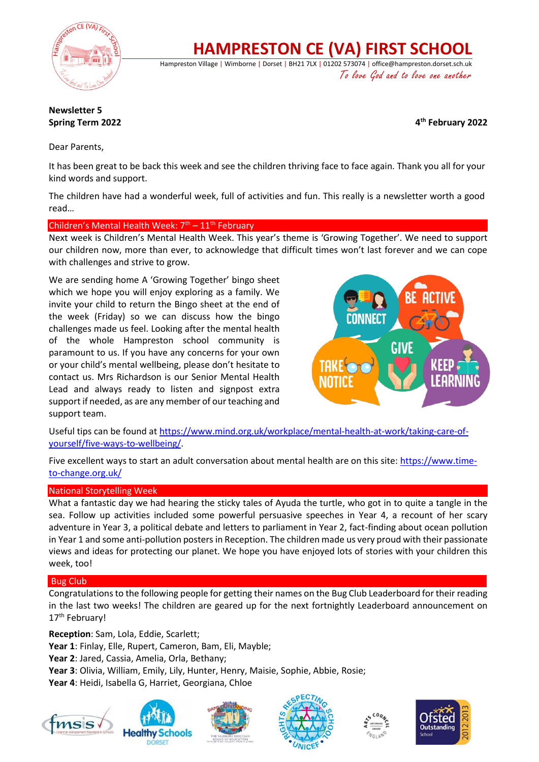

**HAMPRESTON CE (VA) FIRST SCHOOL**

Hampreston Village | Wimborne | Dorset | BH21 7LX | 01202 573074 | office@hampreston.dorset.sch.uk To love God and to love one another

## **Newsletter 5 Spring Term 2022**

**th February 2022**

Dear Parents,

It has been great to be back this week and see the children thriving face to face again. Thank you all for your kind words and support.

The children have had a wonderful week, full of activities and fun. This really is a newsletter worth a good read…

## Children's Mental Health Week:  $7<sup>th</sup> - 11<sup>th</sup>$  February

Next week is Children's Mental Health Week. This year's theme is 'Growing Together'. We need to support our children now, more than ever, to acknowledge that difficult times won't last forever and we can cope with challenges and strive to grow.

We are sending home A 'Growing Together' bingo sheet which we hope you will enjoy exploring as a family. We invite your child to return the Bingo sheet at the end of the week (Friday) so we can discuss how the bingo challenges made us feel. Looking after the mental health of the whole Hampreston school community is paramount to us. If you have any concerns for your own or your child's mental wellbeing, please don't hesitate to contact us. Mrs Richardson is our Senior Mental Health Lead and always ready to listen and signpost extra support if needed, as are any member of our teaching and support team.



Useful tips can be found at [https://www.mind.org.uk/workplace/mental-health-at-work/taking-care-of](https://www.mind.org.uk/workplace/mental-health-at-work/taking-care-of-yourself/five-ways-to-wellbeing/)[yourself/five-ways-to-wellbeing/.](https://www.mind.org.uk/workplace/mental-health-at-work/taking-care-of-yourself/five-ways-to-wellbeing/)

Five excellent ways to start an adult conversation about mental health are on this site: [https://www.time](https://www.time-to-change.org.uk/)[to-change.org.uk/](https://www.time-to-change.org.uk/)

### National Storytelling Week

What a fantastic day we had hearing the sticky tales of Ayuda the turtle, who got in to quite a tangle in the sea. Follow up activities included some powerful persuasive speeches in Year 4, a recount of her scary adventure in Year 3, a political debate and letters to parliament in Year 2, fact-finding about ocean pollution in Year 1 and some anti-pollution posters in Reception. The children made us very proud with their passionate views and ideas for protecting our planet. We hope you have enjoyed lots of stories with your children this week, too!

## Bug Club

Congratulations to the following people for getting their names on the Bug Club Leaderboard for their reading in the last two weeks! The children are geared up for the next fortnightly Leaderboard announcement on 17<sup>th</sup> February!

**Reception**: Sam, Lola, Eddie, Scarlett;

**Year 1**: Finlay, Elle, Rupert, Cameron, Bam, Eli, Mayble;

**Year 2**: Jared, Cassia, Amelia, Orla, Bethany;

**Year 3**: Olivia, William, Emily, Lily, Hunter, Henry, Maisie, Sophie, Abbie, Rosie;

**Year 4**: Heidi, Isabella G, Harriet, Georgiana, Chloe











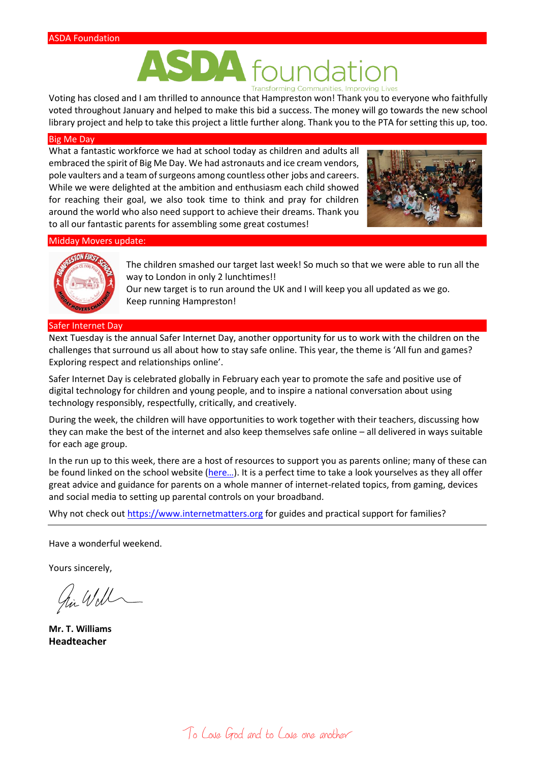# DA **Transforming Communities, Improving Lives**

Voting has closed and I am thrilled to announce that Hampreston won! Thank you to everyone who faithfully voted throughout January and helped to make this bid a success. The money will go towards the new school library project and help to take this project a little further along. Thank you to the PTA for setting this up, too.

#### Big Me Day

What a fantastic workforce we had at school today as children and adults all embraced the spirit of Big Me Day. We had astronauts and ice cream vendors, pole vaulters and a team of surgeons among countless other jobs and careers. While we were delighted at the ambition and enthusiasm each child showed for reaching their goal, we also took time to think and pray for children around the world who also need support to achieve their dreams. Thank you to all our fantastic parents for assembling some great costumes!



#### Midday Movers update:



The children smashed our target last week! So much so that we were able to run all the way to London in only 2 lunchtimes!!

Our new target is to run around the UK and I will keep you all updated as we go. Keep running Hampreston!

#### Safer Internet Day

Next Tuesday is the annual Safer Internet Day, another opportunity for us to work with the children on the challenges that surround us all about how to stay safe online. This year, the theme is 'All fun and games? Exploring respect and relationships online'.

Safer Internet Day is celebrated globally in February each year to promote the safe and positive use of digital technology for children and young people, and to inspire a national conversation about using technology responsibly, respectfully, critically, and creatively.

During the week, the children will have opportunities to work together with their teachers, discussing how they can make the best of the internet and also keep themselves safe online – all delivered in ways suitable for each age group.

In the run up to this week, there are a host of resources to support you as parents online; many of these can be found linked on the school website ([here…](https://www.hamprestonfirstschool.com/online-safety)). It is a perfect time to take a look yourselves as they all offer great advice and guidance for parents on a whole manner of internet-related topics, from gaming, devices and social media to setting up parental controls on your broadband.

Why not check ou[t https://www.internetmatters.org](https://www.internetmatters.org/) for guides and practical support for families?

Have a wonderful weekend.

Yours sincerely,

hi Will

**Mr. T. Williams Headteacher**

To Love God and to Love one another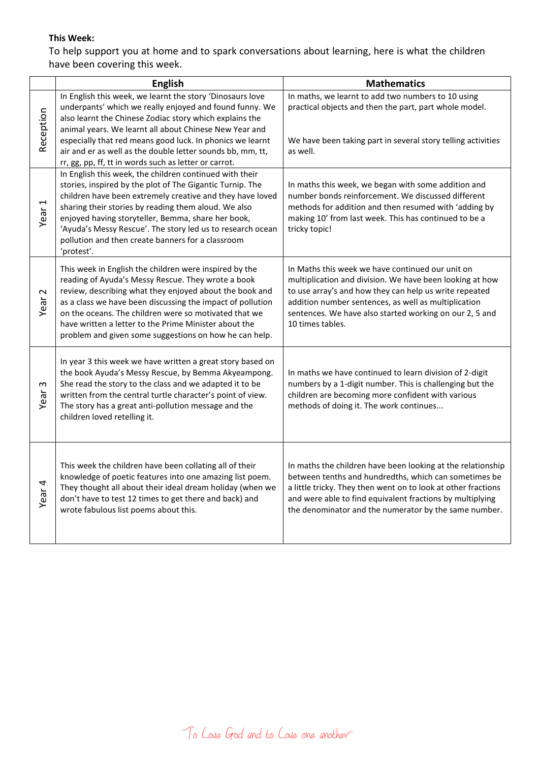## **This Week:**

To help support you at home and to spark conversations about learning, here is what the children have been covering this week.

|                     | <b>English</b>                                                                                                                                                                                                                                                                                                                                                                                                                   | <b>Mathematics</b>                                                                                                                                                                                                                                                                                            |
|---------------------|----------------------------------------------------------------------------------------------------------------------------------------------------------------------------------------------------------------------------------------------------------------------------------------------------------------------------------------------------------------------------------------------------------------------------------|---------------------------------------------------------------------------------------------------------------------------------------------------------------------------------------------------------------------------------------------------------------------------------------------------------------|
| Reception           | In English this week, we learnt the story 'Dinosaurs love<br>underpants' which we really enjoyed and found funny. We<br>also learnt the Chinese Zodiac story which explains the<br>animal years. We learnt all about Chinese New Year and<br>especially that red means good luck. In phonics we learnt<br>air and er as well as the double letter sounds bb, mm, tt,<br>rr, gg, pp, ff, tt in words such as letter or carrot.    | In maths, we learnt to add two numbers to 10 using<br>practical objects and then the part, part whole model.<br>We have been taking part in several story telling activities<br>as well.                                                                                                                      |
| Year <sub>1</sub>   | In English this week, the children continued with their<br>stories, inspired by the plot of The Gigantic Turnip. The<br>children have been extremely creative and they have loved<br>sharing their stories by reading them aloud. We also<br>enjoyed having storyteller, Bemma, share her book,<br>'Ayuda's Messy Rescue'. The story led us to research ocean<br>pollution and then create banners for a classroom<br>'protest'. | In maths this week, we began with some addition and<br>number bonds reinforcement. We discussed different<br>methods for addition and then resumed with 'adding by<br>making 10' from last week. This has continued to be a<br>tricky topic!                                                                  |
| $\mathbf 2$<br>Year | This week in English the children were inspired by the<br>reading of Ayuda's Messy Rescue. They wrote a book<br>review, describing what they enjoyed about the book and<br>as a class we have been discussing the impact of pollution<br>on the oceans. The children were so motivated that we<br>have written a letter to the Prime Minister about the<br>problem and given some suggestions on how he can help.                | In Maths this week we have continued our unit on<br>multiplication and division. We have been looking at how<br>to use array's and how they can help us write repeated<br>addition number sentences, as well as multiplication<br>sentences. We have also started working on our 2, 5 and<br>10 times tables. |
| S<br>Year           | In year 3 this week we have written a great story based on<br>the book Ayuda's Messy Rescue, by Bemma Akyeampong.<br>She read the story to the class and we adapted it to be<br>written from the central turtle character's point of view.<br>The story has a great anti-pollution message and the<br>children loved retelling it.                                                                                               | In maths we have continued to learn division of 2-digit<br>numbers by a 1-digit number. This is challenging but the<br>children are becoming more confident with various<br>methods of doing it. The work continues                                                                                           |
| Year 4              | This week the children have been collating all of their<br>knowledge of poetic features into one amazing list poem.<br>They thought all about their ideal dream holiday (when we<br>don't have to test 12 times to get there and back) and<br>wrote fabulous list poems about this.                                                                                                                                              | In maths the children have been looking at the relationship<br>between tenths and hundredths, which can sometimes be<br>a little tricky. They then went on to look at other fractions<br>and were able to find equivalent fractions by multiplying<br>the denominator and the numerator by the same number.   |

To Love God and to Love one another